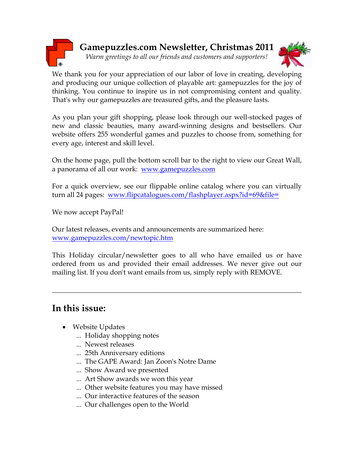

We thank you for your appreciation of our labor of love in creating, developing and producing our unique collection of playable art: gamepuzzles for the joy of thinking. You continue to inspire us in not compromising content and quality. That's why our gamepuzzles are treasured gifts, and the pleasure lasts.

As you plan your gift shopping, please look through our well-stocked pages of new and classic beauties, many award-winning designs and bestsellers. Our website offers 255 wonderful games and puzzles to choose from, something for every age, interest and skill level.

On the home page, pull the bottom scroll bar to the right to view our Great Wall, a panorama of all our work: www.gamepuzzles.com

For a quick overview, see our flippable online catalog where you can virtually turn all 24 pages: www.flipcatalogues.com/flashplayer.aspx?id=69&file=

We now accept PayPal!

Our latest releases, events and announcements are summarized here: www.gamepuzzles.com/newtopic.htm

This Holiday circular/newsletter goes to all who have emailed us or have ordered from us and provided their email addresses. We never give out our mailing list. If you don't want emails from us, simply reply with REMOVE.

\_\_\_\_\_\_\_\_\_\_\_\_\_\_\_\_\_\_\_\_\_\_\_\_\_\_\_\_\_\_\_\_\_\_\_\_\_\_\_\_\_\_\_\_\_\_\_\_\_\_\_\_\_\_\_\_\_\_\_\_\_\_\_\_\_\_\_\_\_\_\_\_

# In this issue:

- Website Updates
	- ... Holiday shopping notes
	- ... Newest releases
	- ... 25th Anniversary editions
	- ... The GAPE Award: Jan Zoon's Notre Dame
	- ... Show Award we presented
	- ... Art Show awards we won this year
	- ... Other website features you may have missed
	- ... Our interactive features of the season
	- ... Our challenges open to the World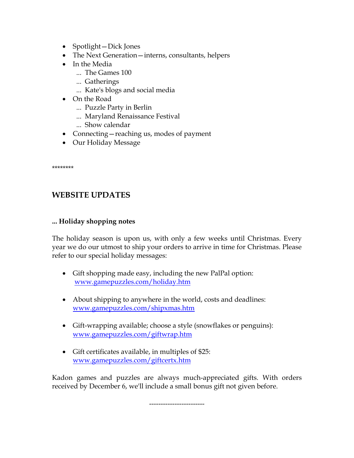- Spotlight—Dick Jones
- The Next Generation—interns, consultants, helpers
- In the Media
	- ... The Games 100
	- ... Gatherings
	- ... Kate's blogs and social media
- On the Road
	- ... Puzzle Party in Berlin
	- ... Maryland Renaissance Festival
	- ... Show calendar
- Connecting reaching us, modes of payment
- Our Holiday Message

\*\*\*\*\*\*\*\*

# WEBSITE UPDATES

### ... Holiday shopping notes

The holiday season is upon us, with only a few weeks until Christmas. Every year we do our utmost to ship your orders to arrive in time for Christmas. Please refer to our special holiday messages:

- Gift shopping made easy, including the new PalPal option: www.gamepuzzles.com/holiday.htm
- About shipping to anywhere in the world, costs and deadlines: www.gamepuzzles.com/shipxmas.htm
- Gift-wrapping available; choose a style (snowflakes or penguins): www.gamepuzzles.com/giftwrap.htm
- Gift certificates available, in multiples of \$25: www.gamepuzzles.com/giftcertx.htm

Kadon games and puzzles are always much-appreciated gifts. With orders received by December 6, we'll include a small bonus gift not given before.

------------------------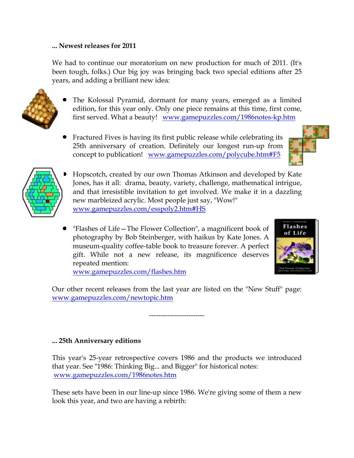### ... Newest releases for 2011

We had to continue our moratorium on new production for much of 2011. (It's been tough, folks.) Our big joy was bringing back two special editions after 25 years, and adding a brilliant new idea:

• The Kolossal Pyramid, dormant for many years, emerged as a limited edition, for this year only. Only one piece remains at this time, first come, first served. What a beauty! www.gamepuzzles.com/1986notes-kp.htm

• Fractured Fives is having its first public release while celebrating its 25th anniversary of creation. Definitely our longest run-up from concept to publication! www.gamepuzzles.com/polycube.htm#F5



• "Flashes of Life—The Flower Collection", a magnificent book of photography by Bob Steinberger, with haikus by Kate Jones. A museum-quality coffee-table book to treasure forever. A perfect gift. While not a new release, its magnificence deserves repeated mention: www.gamepuzzles.com/flashes.htm



Our other recent releases from the last year are listed on the "New Stuff" page: www.gamepuzzles.com/newtopic.htm

------------------------

### ... 25th Anniversary editions

This year's 25-year retrospective covers 1986 and the products we introduced that year. See "1986: Thinking Big... and Bigger" for historical notes: www.gamepuzzles.com/1986notes.htm

These sets have been in our line-up since 1986. We're giving some of them a new look this year, and two are having a rebirth:

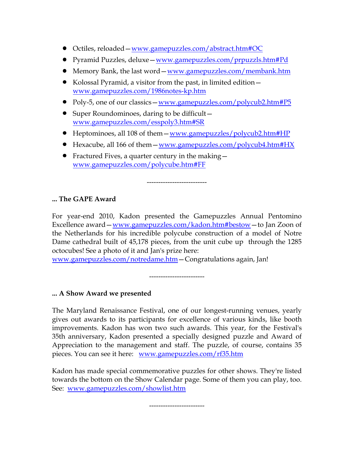- Octiles, reloaded—www.gamepuzzles.com/abstract.htm#OC
- Pyramid Puzzles, deluxe—www.gamepuzzles.com/prpuzzls.htm#Pd
- Memory Bank, the last word—www.gamepuzzles.com/membank.htm
- Kolossal Pyramid, a visitor from the past, in limited edition www.gamepuzzles.com/1986notes-kp.htm
- Poly-5, one of our classics www.gamepuzzles.com/polycub2.htm#P5
- Super Roundominoes, daring to be difficult www.gamepuzzles.com/esspoly3.htm#SR
- Heptominoes, all 108 of them www.gamepuzzles/polycub2.htm#HP
- Hexacube, all 166 of them www.gamepuzzles.com/polycub4.htm#HX

--------------------------

• Fractured Fives, a quarter century in the making www.gamepuzzles.com/polycube.htm#FF

... The GAPE Award

For year-end 2010, Kadon presented the Gamepuzzles Annual Pentomino Excellence award—www.gamepuzzles.com/kadon.htm#bestow—to Jan Zoon of the Netherlands for his incredible polycube construction of a model of Notre Dame cathedral built of 45,178 pieces, from the unit cube up through the 1285 octocubes! See a photo of it and Jan's prize here:

www.gamepuzzles.com/notredame.htm—Congratulations again, Jan!

------------------------

### ... A Show Award we presented

The Maryland Renaissance Festival, one of our longest-running venues, yearly gives out awards to its participants for excellence of various kinds, like booth improvements. Kadon has won two such awards. This year, for the Festival's 35th anniversary, Kadon presented a specially designed puzzle and Award of Appreciation to the management and staff. The puzzle, of course, contains 35 pieces. You can see it here: www.gamepuzzles.com/rf35.htm

Kadon has made special commemorative puzzles for other shows. They're listed towards the bottom on the Show Calendar page. Some of them you can play, too. See: www.gamepuzzles.com/showlist.htm

------------------------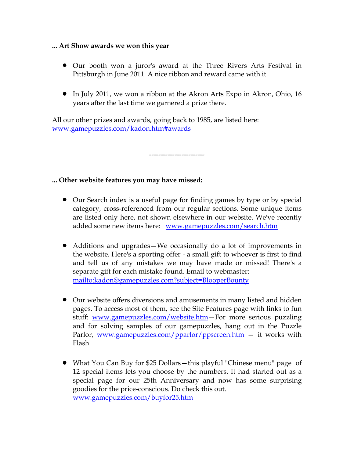#### ... Art Show awards we won this year

- Our booth won a juror's award at the Three Rivers Arts Festival in Pittsburgh in June 2011. A nice ribbon and reward came with it.
- In July 2011, we won a ribbon at the Akron Arts Expo in Akron, Ohio, 16 years after the last time we garnered a prize there.

------------------------

All our other prizes and awards, going back to 1985, are listed here: www.gamepuzzles.com/kadon.htm#awards

### ... Other website features you may have missed:

- Our Search index is a useful page for finding games by type or by special category, cross-referenced from our regular sections. Some unique items are listed only here, not shown elsewhere in our website. We've recently added some new items here: www.gamepuzzles.com/search.htm
- Additions and upgrades—We occasionally do a lot of improvements in the website. Here's a sporting offer - a small gift to whoever is first to find and tell us of any mistakes we may have made or missed! There's a separate gift for each mistake found. Email to webmaster: mailto:kadon@gamepuzzles.com?subject=BlooperBounty
- Our website offers diversions and amusements in many listed and hidden pages. To access most of them, see the Site Features page with links to fun stuff: www.gamepuzzles.com/website.htm-For more serious puzzling and for solving samples of our gamepuzzles, hang out in the Puzzle Parlor, www.gamepuzzles.com/pparlor/ppscreen.htm — it works with Flash.
- What You Can Buy for \$25 Dollars—this playful "Chinese menu" page of 12 special items lets you choose by the numbers. It had started out as a special page for our 25th Anniversary and now has some surprising goodies for the price-conscious. Do check this out. www.gamepuzzles.com/buyfor25.htm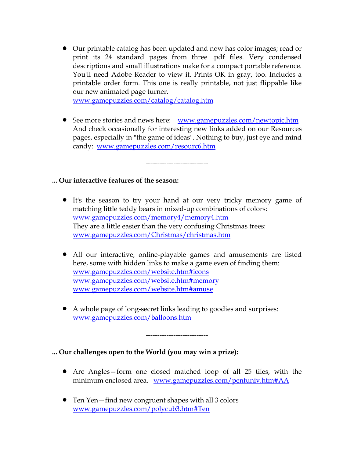• Our printable catalog has been updated and now has color images; read or print its 24 standard pages from three .pdf files. Very condensed descriptions and small illustrations make for a compact portable reference. You'll need Adobe Reader to view it. Prints OK in gray, too. Includes a printable order form. This one is really printable, not just flippable like our new animated page turner.

www.gamepuzzles.com/catalog/catalog.htm

• See more stories and news here: www.gamepuzzles.com/newtopic.htm And check occasionally for interesting new links added on our Resources pages, especially in "the game of ideas". Nothing to buy, just eye and mind candy: www.gamepuzzles.com/resourc6.htm

---------------------------

### ... Our interactive features of the season:

- It's the season to try your hand at our very tricky memory game of matching little teddy bears in mixed-up combinations of colors: www.gamepuzzles.com/memory4/memory4.htm They are a little easier than the very confusing Christmas trees: www.gamepuzzles.com/Christmas/christmas.htm
- All our interactive, online-playable games and amusements are listed here, some with hidden links to make a game even of finding them: www.gamepuzzles.com/website.htm#icons www.gamepuzzles.com/website.htm#memory www.gamepuzzles.com/website.htm#amuse
- A whole page of long-secret links leading to goodies and surprises: www.gamepuzzles.com/balloons.htm

---------------------------

... Our challenges open to the World (you may win a prize):

- Arc Angles—form one closed matched loop of all 25 tiles, with the minimum enclosed area. www.gamepuzzles.com/pentuniv.htm#AA
- Ten Yen—find new congruent shapes with all 3 colors www.gamepuzzles.com/polycub3.htm#Ten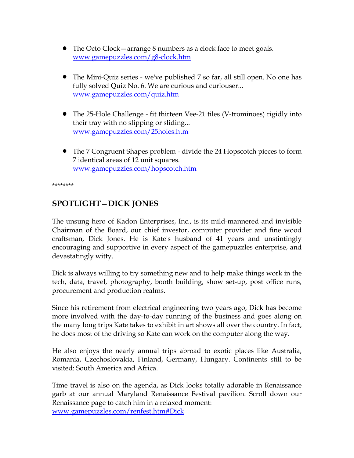- The Octo Clock—arrange 8 numbers as a clock face to meet goals. www.gamepuzzles.com/g8-clock.htm
- The Mini-Quiz series we've published 7 so far, all still open. No one has fully solved Quiz No. 6. We are curious and curiouser... www.gamepuzzles.com/quiz.htm
- The 25-Hole Challenge fit thirteen Vee-21 tiles (V-trominoes) rigidly into their tray with no slipping or sliding... www.gamepuzzles.com/25holes.htm
- The 7 Congruent Shapes problem divide the 24 Hopscotch pieces to form 7 identical areas of 12 unit squares. www.gamepuzzles.com/hopscotch.htm

\*\*\*\*\*\*\*\*

## SPOTLIGHT—DICK JONES

The unsung hero of Kadon Enterprises, Inc., is its mild-mannered and invisible Chairman of the Board, our chief investor, computer provider and fine wood craftsman, Dick Jones. He is Kate's husband of 41 years and unstintingly encouraging and supportive in every aspect of the gamepuzzles enterprise, and devastatingly witty.

Dick is always willing to try something new and to help make things work in the tech, data, travel, photography, booth building, show set-up, post office runs, procurement and production realms.

Since his retirement from electrical engineering two years ago, Dick has become more involved with the day-to-day running of the business and goes along on the many long trips Kate takes to exhibit in art shows all over the country. In fact, he does most of the driving so Kate can work on the computer along the way.

He also enjoys the nearly annual trips abroad to exotic places like Australia, Romania, Czechoslovakia, Finland, Germany, Hungary. Continents still to be visited: South America and Africa.

Time travel is also on the agenda, as Dick looks totally adorable in Renaissance garb at our annual Maryland Renaissance Festival pavilion. Scroll down our Renaissance page to catch him in a relaxed moment: www.gamepuzzles.com/renfest.htm#Dick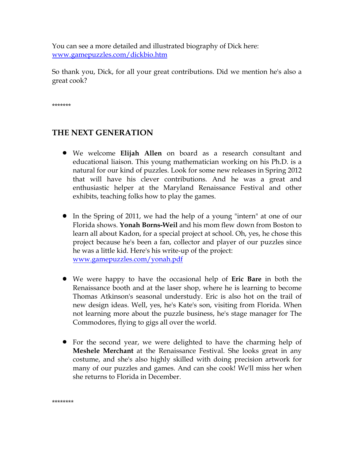You can see a more detailed and illustrated biography of Dick here: www.gamepuzzles.com/dickbio.htm

So thank you, Dick, for all your great contributions. Did we mention he's also a great cook?

\*\*\*\*\*\*\*

# THE NEXT GENERATION

- We welcome Elijah Allen on board as a research consultant and educational liaison. This young mathematician working on his Ph.D. is a natural for our kind of puzzles. Look for some new releases in Spring 2012 that will have his clever contributions. And he was a great and enthusiastic helper at the Maryland Renaissance Festival and other exhibits, teaching folks how to play the games.
- In the Spring of 2011, we had the help of a young "intern" at one of our Florida shows. Yonah Borns-Weil and his mom flew down from Boston to learn all about Kadon, for a special project at school. Oh, yes, he chose this project because he's been a fan, collector and player of our puzzles since he was a little kid. Here's his write-up of the project: www.gamepuzzles.com/yonah.pdf
- We were happy to have the occasional help of **Eric Bare** in both the Renaissance booth and at the laser shop, where he is learning to become Thomas Atkinson's seasonal understudy. Eric is also hot on the trail of new design ideas. Well, yes, he's Kate's son, visiting from Florida. When not learning more about the puzzle business, he's stage manager for The Commodores, flying to gigs all over the world.
- For the second year, we were delighted to have the charming help of Meshele Merchant at the Renaissance Festival. She looks great in any costume, and she's also highly skilled with doing precision artwork for many of our puzzles and games. And can she cook! We'll miss her when she returns to Florida in December.

\*\*\*\*\*\*\*\*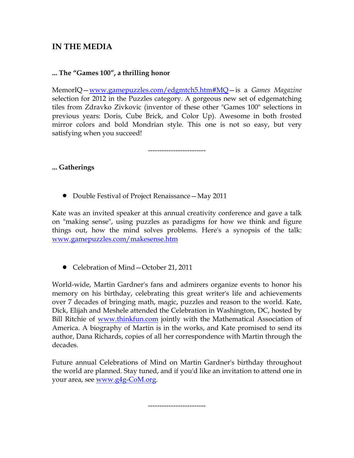### IN THE MEDIA

### ... The "Games 100", a thrilling honor

MemorIQ—www.gamepuzzles.com/edgmtch5.htm#MQ—is a Games Magazine selection for 2012 in the Puzzles category. A gorgeous new set of edgematching tiles from Zdravko Zivkovic (inventor of these other "Games 100" selections in previous years: Doris, Cube Brick, and Color Up). Awesome in both frosted mirror colors and bold Mondrian style. This one is not so easy, but very satisfying when you succeed!

-------------------------

... Gatherings

• Double Festival of Project Renaissance – May 2011

Kate was an invited speaker at this annual creativity conference and gave a talk on "making sense", using puzzles as paradigms for how we think and figure things out, how the mind solves problems. Here's a synopsis of the talk: www.gamepuzzles.com/makesense.htm

• Celebration of Mind – October 21, 2011

World-wide, Martin Gardner's fans and admirers organize events to honor his memory on his birthday, celebrating this great writer's life and achievements over 7 decades of bringing math, magic, puzzles and reason to the world. Kate, Dick, Elijah and Meshele attended the Celebration in Washington, DC, hosted by Bill Ritchie of www.thinkfun.com jointly with the Mathematical Association of America. A biography of Martin is in the works, and Kate promised to send its author, Dana Richards, copies of all her correspondence with Martin through the decades.

Future annual Celebrations of Mind on Martin Gardner's birthday throughout the world are planned. Stay tuned, and if you'd like an invitation to attend one in your area, see www.g4g-CoM.org.

-------------------------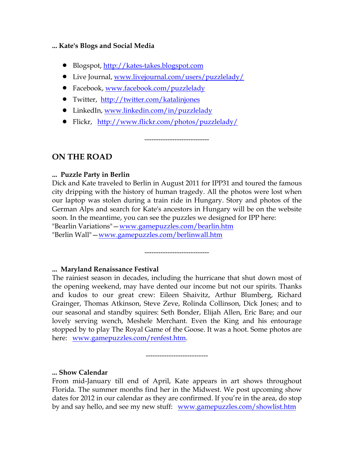#### ... Kate's Blogs and Social Media

- Blogspot, <u>http://kates-takes.blogspot.com</u>
- Live Journal, www.livejournal.com/users/puzzlelady/
- Facebook, www.facebook.com/puzzlelady
- Twitter, http://twitter.com/katalinjones
- LinkedIn, www.linkedin.com/in/puzzlelady
- Flickr, http://www.flickr.com/photos/puzzlelady/

ON THE ROAD

### ... Puzzle Party in Berlin

Dick and Kate traveled to Berlin in August 2011 for IPP31 and toured the famous city dripping with the history of human tragedy. All the photos were lost when our laptop was stolen during a train ride in Hungary. Story and photos of the German Alps and search for Kate's ancestors in Hungary will be on the website soon. In the meantime, you can see the puzzles we designed for IPP here: "Bearlin Variations" - www.gamepuzzles.com/bearlin.htm "Berlin Wall"—www.gamepuzzles.com/berlinwall.htm

----------------------------

----------------------------

### ... Maryland Renaissance Festival

The rainiest season in decades, including the hurricane that shut down most of the opening weekend, may have dented our income but not our spirits. Thanks and kudos to our great crew: Eileen Shaivitz, Arthur Blumberg, Richard Grainger, Thomas Atkinson, Steve Zeve, Rolinda Collinson, Dick Jones; and to our seasonal and standby squires: Seth Bonder, Elijah Allen, Eric Bare; and our lovely serving wench, Meshele Merchant. Even the King and his entourage stopped by to play The Royal Game of the Goose. It was a hoot. Some photos are here: www.gamepuzzles.com/renfest.htm.

---------------------------

### ... Show Calendar

From mid-January till end of April, Kate appears in art shows throughout Florida. The summer months find her in the Midwest. We post upcoming show dates for 2012 in our calendar as they are confirmed. If you're in the area, do stop by and say hello, and see my new stuff: www.gamepuzzles.com/showlist.htm